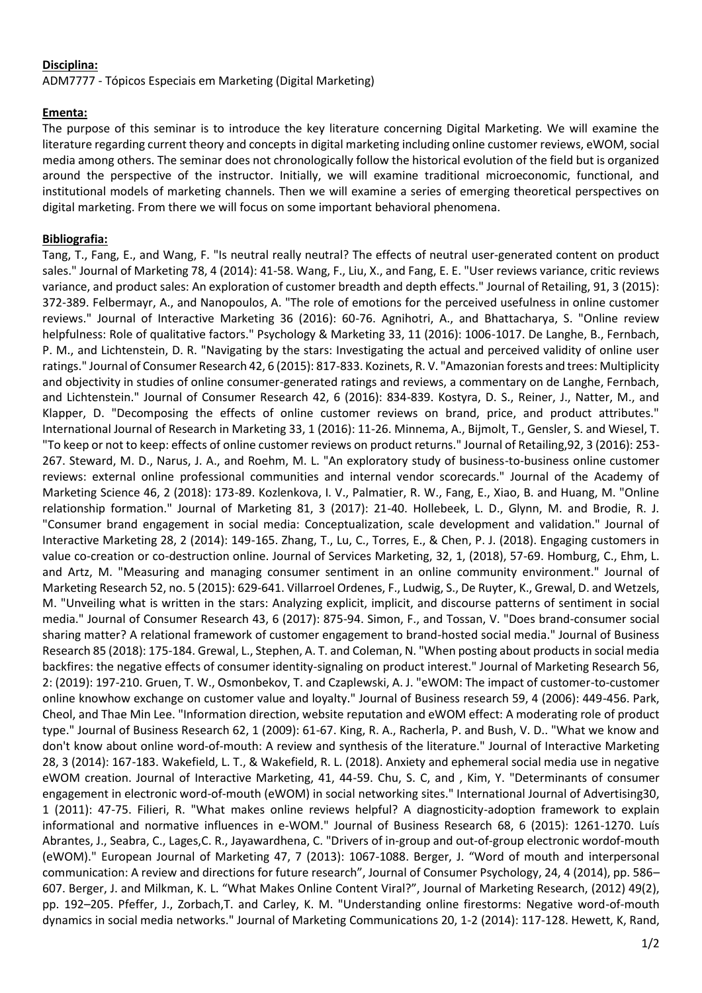## **Disciplina:**

ADM7777 - Tópicos Especiais em Marketing (Digital Marketing)

## **Ementa:**

The purpose of this seminar is to introduce the key literature concerning Digital Marketing. We will examine the literature regarding current theory and concepts in digital marketing including online customer reviews, eWOM, social media among others. The seminar does not chronologically follow the historical evolution of the field but is organized around the perspective of the instructor. Initially, we will examine traditional microeconomic, functional, and institutional models of marketing channels. Then we will examine a series of emerging theoretical perspectives on digital marketing. From there we will focus on some important behavioral phenomena.

## **Bibliografia:**

Tang, T., Fang, E., and Wang, F. "Is neutral really neutral? The effects of neutral user-generated content on product sales." Journal of Marketing 78, 4 (2014): 41-58. Wang, F., Liu, X., and Fang, E. E. "User reviews variance, critic reviews variance, and product sales: An exploration of customer breadth and depth effects." Journal of Retailing, 91, 3 (2015): 372-389. Felbermayr, A., and Nanopoulos, A. "The role of emotions for the perceived usefulness in online customer reviews." Journal of Interactive Marketing 36 (2016): 60-76. Agnihotri, A., and Bhattacharya, S. "Online review helpfulness: Role of qualitative factors." Psychology & Marketing 33, 11 (2016): 1006-1017. De Langhe, B., Fernbach, P. M., and Lichtenstein, D. R. "Navigating by the stars: Investigating the actual and perceived validity of online user ratings." Journal of Consumer Research 42, 6 (2015): 817-833. Kozinets, R. V. "Amazonian forests and trees: Multiplicity and objectivity in studies of online consumer-generated ratings and reviews, a commentary on de Langhe, Fernbach, and Lichtenstein." Journal of Consumer Research 42, 6 (2016): 834-839. Kostyra, D. S., Reiner, J., Natter, M., and Klapper, D. "Decomposing the effects of online customer reviews on brand, price, and product attributes." International Journal of Research in Marketing 33, 1 (2016): 11-26. Minnema, A., Bijmolt, T., Gensler, S. and Wiesel, T. "To keep or not to keep: effects of online customer reviews on product returns." Journal of Retailing,92, 3 (2016): 253- 267. Steward, M. D., Narus, J. A., and Roehm, M. L. "An exploratory study of business-to-business online customer reviews: external online professional communities and internal vendor scorecards." Journal of the Academy of Marketing Science 46, 2 (2018): 173-89. Kozlenkova, I. V., Palmatier, R. W., Fang, E., Xiao, B. and Huang, M. "Online relationship formation." Journal of Marketing 81, 3 (2017): 21-40. Hollebeek, L. D., Glynn, M. and Brodie, R. J. "Consumer brand engagement in social media: Conceptualization, scale development and validation." Journal of Interactive Marketing 28, 2 (2014): 149-165. Zhang, T., Lu, C., Torres, E., & Chen, P. J. (2018). Engaging customers in value co-creation or co-destruction online. Journal of Services Marketing, 32, 1, (2018), 57-69. Homburg, C., Ehm, L. and Artz, M. "Measuring and managing consumer sentiment in an online community environment." Journal of Marketing Research 52, no. 5 (2015): 629-641. Villarroel Ordenes, F., Ludwig, S., De Ruyter, K., Grewal, D. and Wetzels, M. "Unveiling what is written in the stars: Analyzing explicit, implicit, and discourse patterns of sentiment in social media." Journal of Consumer Research 43, 6 (2017): 875-94. Simon, F., and Tossan, V. "Does brand-consumer social sharing matter? A relational framework of customer engagement to brand-hosted social media." Journal of Business Research 85 (2018): 175-184. Grewal, L., Stephen, A. T. and Coleman, N. "When posting about products in social media backfires: the negative effects of consumer identity-signaling on product interest." Journal of Marketing Research 56, 2: (2019): 197-210. Gruen, T. W., Osmonbekov, T. and Czaplewski, A. J. "eWOM: The impact of customer-to-customer online knowhow exchange on customer value and loyalty." Journal of Business research 59, 4 (2006): 449-456. Park, Cheol, and Thae Min Lee. "Information direction, website reputation and eWOM effect: A moderating role of product type." Journal of Business Research 62, 1 (2009): 61-67. King, R. A., Racherla, P. and Bush, V. D.. "What we know and don't know about online word-of-mouth: A review and synthesis of the literature." Journal of Interactive Marketing 28, 3 (2014): 167-183. Wakefield, L. T., & Wakefield, R. L. (2018). Anxiety and ephemeral social media use in negative eWOM creation. Journal of Interactive Marketing, 41, 44-59. Chu, S. C, and , Kim, Y. "Determinants of consumer engagement in electronic word-of-mouth (eWOM) in social networking sites." International Journal of Advertising30, 1 (2011): 47-75. Filieri, R. "What makes online reviews helpful? A diagnosticity-adoption framework to explain informational and normative influences in e-WOM." Journal of Business Research 68, 6 (2015): 1261-1270. Luís Abrantes, J., Seabra, C., Lages,C. R., Jayawardhena, C. "Drivers of in-group and out-of-group electronic wordof-mouth (eWOM)." European Journal of Marketing 47, 7 (2013): 1067-1088. Berger, J. "Word of mouth and interpersonal communication: A review and directions for future research", Journal of Consumer Psychology, 24, 4 (2014), pp. 586– 607. Berger, J. and Milkman, K. L. "What Makes Online Content Viral?", Journal of Marketing Research, (2012) 49(2), pp. 192–205. Pfeffer, J., Zorbach,T. and Carley, K. M. "Understanding online firestorms: Negative word-of-mouth dynamics in social media networks." Journal of Marketing Communications 20, 1-2 (2014): 117-128. Hewett, K, Rand,